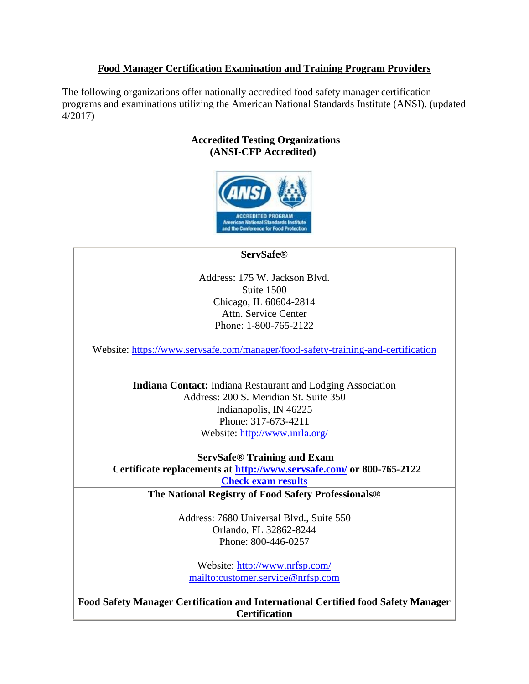# **Food Manager Certification Examination and Training Program Providers**

The following organizations offer nationally accredited food safety manager certification programs and examinations utilizing the American National Standards Institute (ANSI). (updated 4/2017)

# **Accredited Testing Organizations (ANSI-CFP Accredited)**



**ServSafe®**

Address: 175 W. Jackson Blvd. Suite 1500 Chicago, IL 60604-2814 Attn. Service Center Phone: 1-800-765-2122

Website: [https://www.servsafe.com/manager/food-safety-training-and-certification](https://www.servsafe.com/manager/food-safety-training-and-certificationPhone)

**Indiana Contact:** Indiana Restaurant and Lodging Association Address: 200 S. Meridian St. Suite 350 Indianapolis, IN 46225 Phone: 317-673-4211 Website: <http://www.inrla.org/>

**ServSafe® Training and Exam Certificate replacements at<http://www.servsafe.com/> or 800-765-2122 [Check exam results](https://www.servsafe.com/ss/UserProfile/UserLogin.aspx?from=examresults)**

**The National Registry of Food Safety Professionals®**

Address: 7680 Universal Blvd., Suite 550 Orlando, FL 32862-8244 Phone: 800-446-0257

Website: [http://www.nrfsp.com/](http://www.nrfsp.com/Phone) <mailto:customer.service@nrfsp.com>

**Food Safety Manager Certification and International Certified food Safety Manager Certification**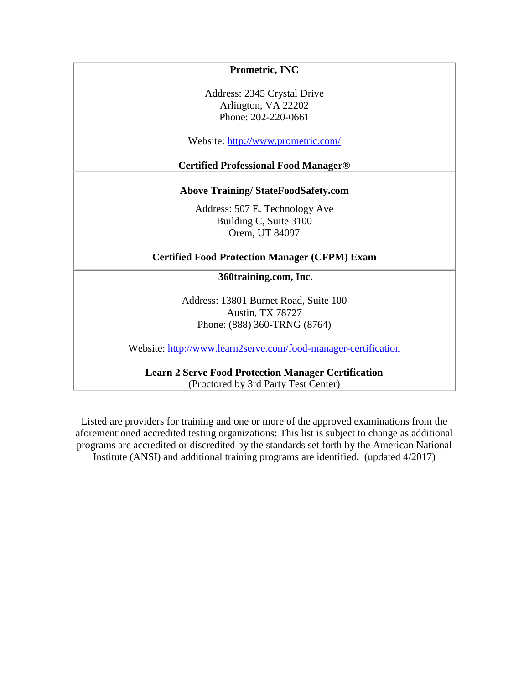### **Prometric, INC**

Address: 2345 Crystal Drive Arlington, VA 22202 Phone: 202-220-0661

Website:<http://www.prometric.com/>

#### **Certified Professional Food Manager®**

## **Above Training/ StateFoodSafety.com**

Address: 507 E. Technology Ave Building C, Suite 3100 Orem, UT 84097

#### **Certified Food Protection Manager (CFPM) Exam**

#### **360training.com, Inc.**

Address: 13801 Burnet Road, Suite 100 Austin, TX 78727 Phone: (888) 360-TRNG (8764)

Website:<http://www.learn2serve.com/food-manager-certification>

**Learn 2 Serve Food Protection Manager Certification** (Proctored by 3rd Party Test Center)

Listed are providers for training and one or more of the approved examinations from the aforementioned accredited testing organizations: This list is subject to change as additional programs are accredited or discredited by the standards set forth by the American National Institute (ANSI) and additional training programs are identified**.** (updated 4/2017)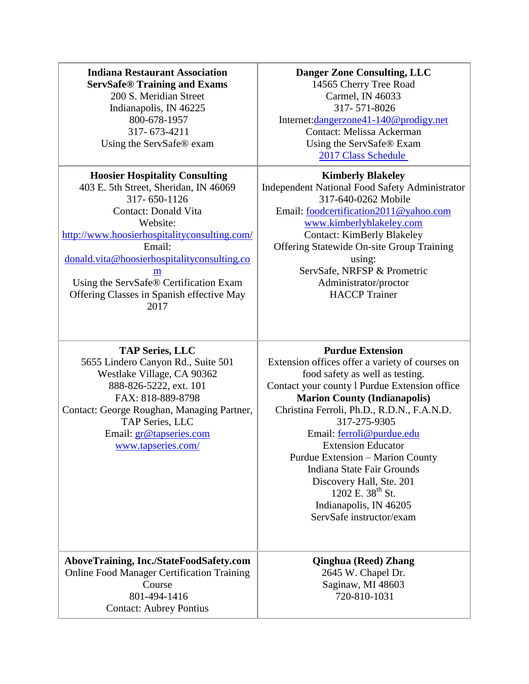**Indiana Restaurant Association ServSafe® Training and Exams** 200 S. Meridian Street Indianapolis, IN 46225 800-678-1957 317- 673-4211 Using the ServSafe® exam **Hoosier Hospitality Consulting** 403 E. 5th Street, Sheridan, IN 46069 317- 650-1126 Contact: Donald Vita Website: <http://www.hoosierhospitalityconsulting.com/> Email:

[donald.vita@hoosierhospitalityconsulting.co](mailto:donald.vita@hoosierhospitalityconsulting.com)

[m](mailto:donald.vita@hoosierhospitalityconsulting.com) Using the ServSafe® Certification Exam Offering Classes in Spanish effective May 2017

### **Danger Zone Consulting, LLC**

14565 Cherry Tree Road Carmel, IN 46033 317- 571-8026

Internet[:dangerzone41-140@prodigy.net](mailto:dangerzone41-140@prodigy.net)

Contact: Melissa Ackerman Using the ServSafe® Exam 2017 [Class Schedule](http://www.in.gov/isdh/files/Copy%20of%202017%20DZC%20ServSafe%20Class%20Schedule.pdf)

# **Kimberly Blakeley**

Independent National Food Safety Administrator 317-640-0262 Mobile Email: [foodcertification2011@yahoo.com](mailto:foodcertification2011@yahoo.com) [www.kimberlyblakeley.com](http://www.kimberlyblakeley.comcontact/) Contact: KimBerly Blakeley Offering Statewide On-site Group Training using: ServSafe, NRFSP & Prometric Administrator/proctor HACCP Trainer

**TAP Series, LLC** 5655 Lindero Canyon Rd., Suite 501 Westlake Village, CA 90362 888-826-5222, ext. 101 FAX: 818-889-8798 Contact: George Roughan, Managing Partner, TAP Series, LLC Email: [gr@tapseries.com](mailto:gr@tapseries.com) [www.tapseries.com/](http://www.tapseries.com/)

**Purdue Extension** Extension offices offer a variety of courses on food safety as well as testing. Contact your county l Purdue Extension office **Marion County (Indianapolis)** Christina Ferroli, Ph.D., R.D.N., F.A.N.D. 317-275-9305 Email: [ferroli@purdue.edu](mailto:ferroli@purdue.edu)

> Extension Educator Purdue Extension – Marion County Indiana State Fair Grounds Discovery Hall, Ste. 201  $1202$  E.  $38^{th}$  St. Indianapolis, IN 46205 ServSafe instructor/exam

**AboveTraining, Inc./StateFoodSafety.com** Online Food Manager Certification Training Course 801-494-1416 Contact: Aubrey Pontius

**Qinghua (Reed) Zhang** 2645 W. Chapel Dr. Saginaw, MI 48603 720-810-1031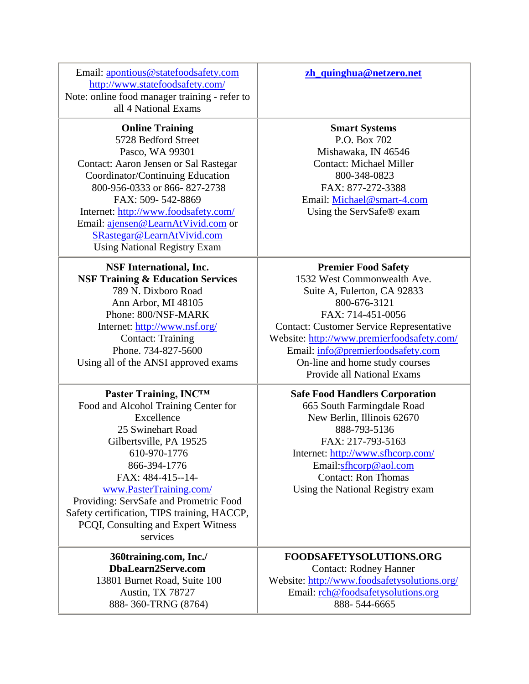Email: [apontious@statefoodsafety.com](mailto:apontious@statefoodsafety.com) <http://www.statefoodsafety.com/> Note: online food manager training - refer to all 4 National Exams

**Online Training** 5728 Bedford Street Pasco, WA 99301 Contact: Aaron Jensen or Sal Rastegar Coordinator/Continuing Education 800-956-0333 or 866- 827-2738 FAX: 509- 542-8869 Internet:<http://www.foodsafety.com/> Email: [ajensen@LearnAtVivid.com](mailto:ajensen@LearnAtVivid.com) or [SRastegar@LearnAtVivid.com](mailto:SRastegar@LearnAtVivid.com) Using National Registry Exam

#### **NSF International, Inc. NSF Training & Education Services** 789 N. Dixboro Road

Ann Arbor, MI 48105 Phone: 800/NSF-MARK

Internet:<http://www.nsf.org/> Contact: Training Phone. 734-827-5600 Using all of the ANSI approved exams

# **Paster Training, INC™**

Food and Alcohol Training Center for Excellence 25 Swinehart Road Gilbertsville, PA 19525 610-970-1776 866-394-1776 FAX: 484-415--14-

## [www.PasterTraining.com/](http://www.pastertraining.com/)

Providing: ServSafe and Prometric Food Safety certification, TIPS training, HACCP, PCQI, Consulting and Expert Witness services

> **360training.com, Inc./ DbaLearn2Serve.com** 13801 Burnet Road, Suite 100 Austin, TX 78727 888- 360-TRNG (8764)

# **[zh\\_quinghua@netzero.net](mailto:zh_quinghua@netzero.net)**

**Smart Systems** P.O. Box 702 Mishawaka, IN 46546 Contact: Michael Miller 800-348-0823 FAX: 877-272-3388 Email: [Michael@smart-4.com](mailto:Michael@smart-4.com) Using the ServSafe® exam

**Premier Food Safety** 1532 West Commonwealth Ave. Suite A, Fulerton, CA 92833 800-676-3121 FAX: 714-451-0056 Contact: Customer Service Representative Website:<http://www.premierfoodsafety.com/> Email: [info@premierfoodsafety.com](mailto:info@premierfoodsafety.com) On-line and home study courses Provide all National Exams

## **Safe Food Handlers Corporation**

665 South Farmingdale Road New Berlin, Illinois 62670 888-793-5136 FAX: 217-793-5163 Internet:<http://www.sfhcorp.com/> Email[:sfhcorp@aol.com](mailto:sfhcorp@aol.com) Contact: Ron Thomas Using the National Registry exam

**FOODSAFETYSOLUTIONS.ORG** Contact: Rodney Hanner Website:<http://www.foodsafetysolutions.org/> Email: [rch@foodsafetysolutions.org](mailto:rch@foodsafetysolutions.org) 888- 544-6665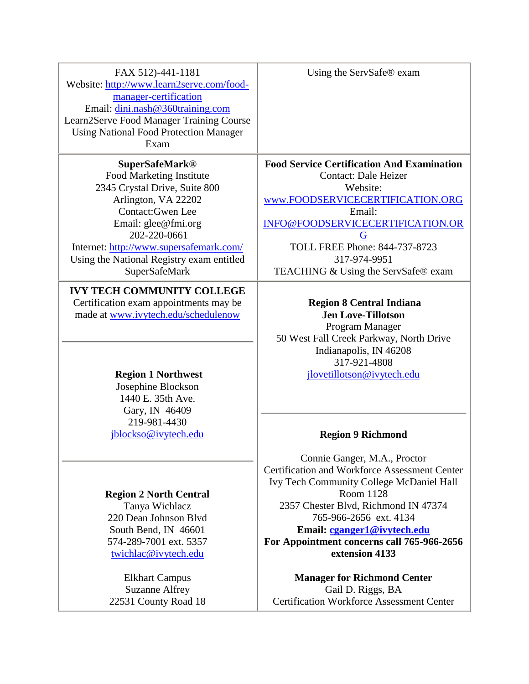| FAX 512)-441-1181<br>Website: http://www.learn2serve.com/food-<br>manager-certification<br>Email: dini.nash@360training.com<br>Learn2Serve Food Manager Training Course<br><b>Using National Food Protection Manager</b><br>Exam                                                     | Using the ServSafe® exam                                                                                                                                                                                                                                                                                       |
|--------------------------------------------------------------------------------------------------------------------------------------------------------------------------------------------------------------------------------------------------------------------------------------|----------------------------------------------------------------------------------------------------------------------------------------------------------------------------------------------------------------------------------------------------------------------------------------------------------------|
| <b>SuperSafeMark®</b><br>Food Marketing Institute<br>2345 Crystal Drive, Suite 800<br>Arlington, VA 22202<br><b>Contact:Gwen Lee</b><br>Email: glee@fmi.org<br>202-220-0661<br>Internet: http://www.supersafemark.com/<br>Using the National Registry exam entitled<br>SuperSafeMark | <b>Food Service Certification And Examination</b><br><b>Contact: Dale Heizer</b><br>Website:<br>www.FOODSERVICECERTIFICATION.ORG<br>Email:<br>INFO@FOODSERVICECERTIFICATION.OR<br>G<br><b>TOLL FREE Phone: 844-737-8723</b><br>317-974-9951<br>TEACHING & Using the ServSafe® exam                             |
| <b>IVY TECH COMMUNITY COLLEGE</b><br>Certification exam appointments may be<br>made at www.ivytech.edu/schedulenow                                                                                                                                                                   | <b>Region 8 Central Indiana</b><br><b>Jen Love-Tillotson</b><br>Program Manager<br>50 West Fall Creek Parkway, North Drive                                                                                                                                                                                     |
| <b>Region 1 Northwest</b><br>Josephine Blockson<br>1440 E. 35th Ave.<br>Gary, IN 46409                                                                                                                                                                                               | Indianapolis, IN 46208<br>317-921-4808<br>jlovetillotson@ivytech.edu                                                                                                                                                                                                                                           |
| 219-981-4430<br>jblockso@ivytech.edu                                                                                                                                                                                                                                                 | <b>Region 9 Richmond</b>                                                                                                                                                                                                                                                                                       |
| <b>Region 2 North Central</b><br>Tanya Wichlacz<br>220 Dean Johnson Blyd<br>South Bend, IN 46601<br>574-289-7001 ext. 5357<br>twichlac@ivytech.edu                                                                                                                                   | Connie Ganger, M.A., Proctor<br><b>Certification and Workforce Assessment Center</b><br>Ivy Tech Community College McDaniel Hall<br>Room 1128<br>2357 Chester Blvd, Richmond IN 47374<br>765-966-2656 ext. 4134<br>Email: cganger1@ivytech.edu<br>For Appointment concerns call 765-966-2656<br>extension 4133 |
| <b>Elkhart Campus</b><br><b>Suzanne Alfrey</b><br>22531 County Road 18                                                                                                                                                                                                               | <b>Manager for Richmond Center</b><br>Gail D. Riggs, BA<br><b>Certification Workforce Assessment Center</b>                                                                                                                                                                                                    |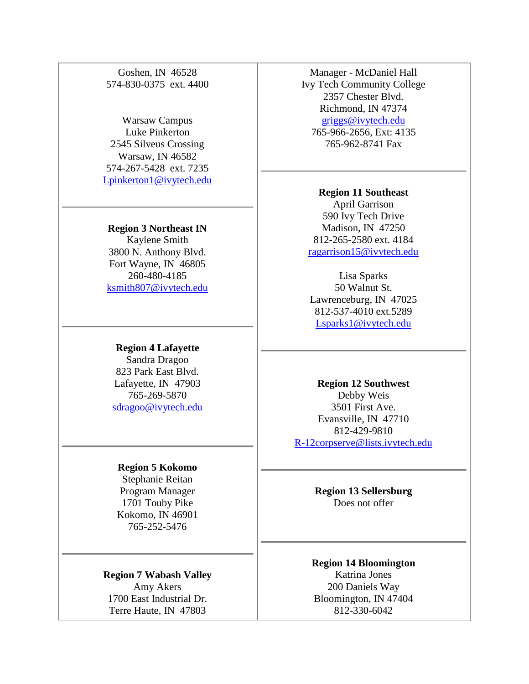Goshen, IN 46528 574-830-0375 ext. 4400

Warsaw Campus Luke Pinkerton 2545 Silveus Crossing Warsaw, IN 46582 574-267-5428 ext. 7235 [Lpinkerton1@ivytech.edu](mailto:Lpinkerton1@ivytech.edu)

**Region 3 Northeast IN** Kaylene Smith 3800 N. Anthony Blvd. Fort Wayne, IN 46805 260-480-4185 [ksmith807@ivytech.edu](mailto:ksmith807@ivytech.edu)

**Region 4 Lafayette** Sandra Dragoo 823 Park East Blvd. Lafayette, IN 47903 765-269-5870 [sdragoo@ivytech.edu](mailto:sdragoo@ivytech.edu)

**Region 5 Kokomo** Stephanie Reitan Program Manager 1701 Touby Pike

Kokomo, IN 46901 765-252-5476

**Region 7 Wabash Valley** Amy Akers 1700 East Industrial Dr.

Terre Haute, IN 47803

Manager - McDaniel Hall Ivy Tech Community College 2357 Chester Blvd. Richmond, IN 47374 [griggs@ivytech.edu](mailto:griggs@ivytech.edu765-966-2656) 765-966-2656, Ext: 4135 765-962-8741 Fax

**Region 11 Southeast**  April Garrison 590 Ivy Tech Drive Madison, IN 47250 812-265-2580 ext. 4184 [ragarrison15@ivytech.edu](mailto:ragarrison15@ivytech.edu)

Lisa Sparks 50 Walnut St. Lawrenceburg, IN 47025 812-537-4010 ext.5289 [Lsparks1@ivytech.edu](mailto:Lsparks1@ivytech.edu)

**Region 12 Southwest** Debby Weis 3501 First Ave. Evansville, IN 47710 812-429-9810 [R-12corpserve@lists.ivytech.edu](mailto:R-12corpserve@lists.ivytech.edu)

> **Region 13 Sellersburg** Does not offer

**Region 14 Bloomington** Katrina Jones 200 Daniels Way Bloomington, IN 47404 812-330-6042